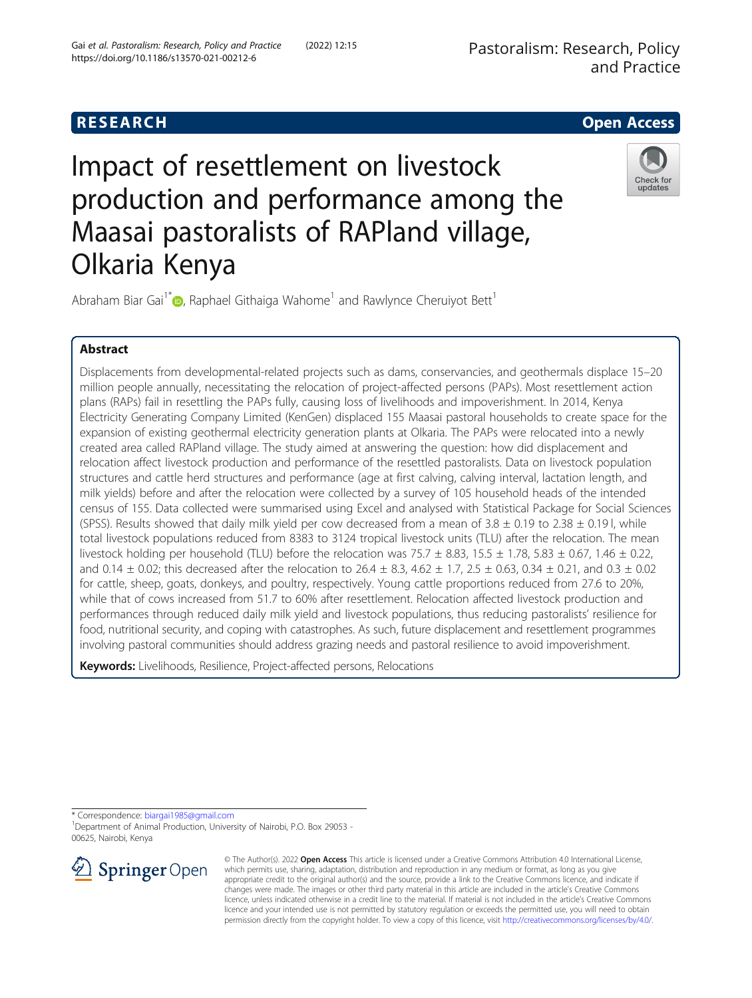



# Impact of resettlement on livestock production and performance among the Maasai pastoralists of RAPland village, Olkaria Kenya



Abraham Biar Gai<sup>1[\\*](http://orcid.org/0000-0002-3451-6713)</sup> <sub>(b</sub>, Raphael Githaiga Wahome<sup>1</sup> and Rawlynce Cheruiyot Bett<sup>1</sup>

## Abstract

Displacements from developmental-related projects such as dams, conservancies, and geothermals displace 15–20 million people annually, necessitating the relocation of project-affected persons (PAPs). Most resettlement action plans (RAPs) fail in resettling the PAPs fully, causing loss of livelihoods and impoverishment. In 2014, Kenya Electricity Generating Company Limited (KenGen) displaced 155 Maasai pastoral households to create space for the expansion of existing geothermal electricity generation plants at Olkaria. The PAPs were relocated into a newly created area called RAPland village. The study aimed at answering the question: how did displacement and relocation affect livestock production and performance of the resettled pastoralists. Data on livestock population structures and cattle herd structures and performance (age at first calving, calving interval, lactation length, and milk yields) before and after the relocation were collected by a survey of 105 household heads of the intended census of 155. Data collected were summarised using Excel and analysed with Statistical Package for Social Sciences (SPSS). Results showed that daily milk yield per cow decreased from a mean of  $3.8 \pm 0.19$  to  $2.38 \pm 0.19$  l, while total livestock populations reduced from 8383 to 3124 tropical livestock units (TLU) after the relocation. The mean livestock holding per household (TLU) before the relocation was  $75.7 \pm 8.83$ ,  $15.5 \pm 1.78$ ,  $5.83 \pm 0.67$ ,  $1.46 \pm 0.22$ , and 0.14  $\pm$  0.02; this decreased after the relocation to 26.4  $\pm$  8.3, 4.62  $\pm$  1.7, 2.5  $\pm$  0.63, 0.34  $\pm$  0.21, and 0.3  $\pm$  0.02 for cattle, sheep, goats, donkeys, and poultry, respectively. Young cattle proportions reduced from 27.6 to 20%, while that of cows increased from 51.7 to 60% after resettlement. Relocation affected livestock production and performances through reduced daily milk yield and livestock populations, thus reducing pastoralists' resilience for food, nutritional security, and coping with catastrophes. As such, future displacement and resettlement programmes involving pastoral communities should address grazing needs and pastoral resilience to avoid impoverishment.

Keywords: Livelihoods, Resilience, Project-affected persons, Relocations

\* Correspondence: [biargai1985@gmail.com](mailto:biargai1985@gmail.com) <sup>1</sup>

<sup>1</sup>Department of Animal Production, University of Nairobi, P.O. Box 29053 -00625, Nairobi, Kenya



© The Author(s). 2022 Open Access This article is licensed under a Creative Commons Attribution 4.0 International License, which permits use, sharing, adaptation, distribution and reproduction in any medium or format, as long as you give appropriate credit to the original author(s) and the source, provide a link to the Creative Commons licence, and indicate if changes were made. The images or other third party material in this article are included in the article's Creative Commons licence, unless indicated otherwise in a credit line to the material. If material is not included in the article's Creative Commons licence and your intended use is not permitted by statutory regulation or exceeds the permitted use, you will need to obtain permission directly from the copyright holder. To view a copy of this licence, visit <http://creativecommons.org/licenses/by/4.0/>.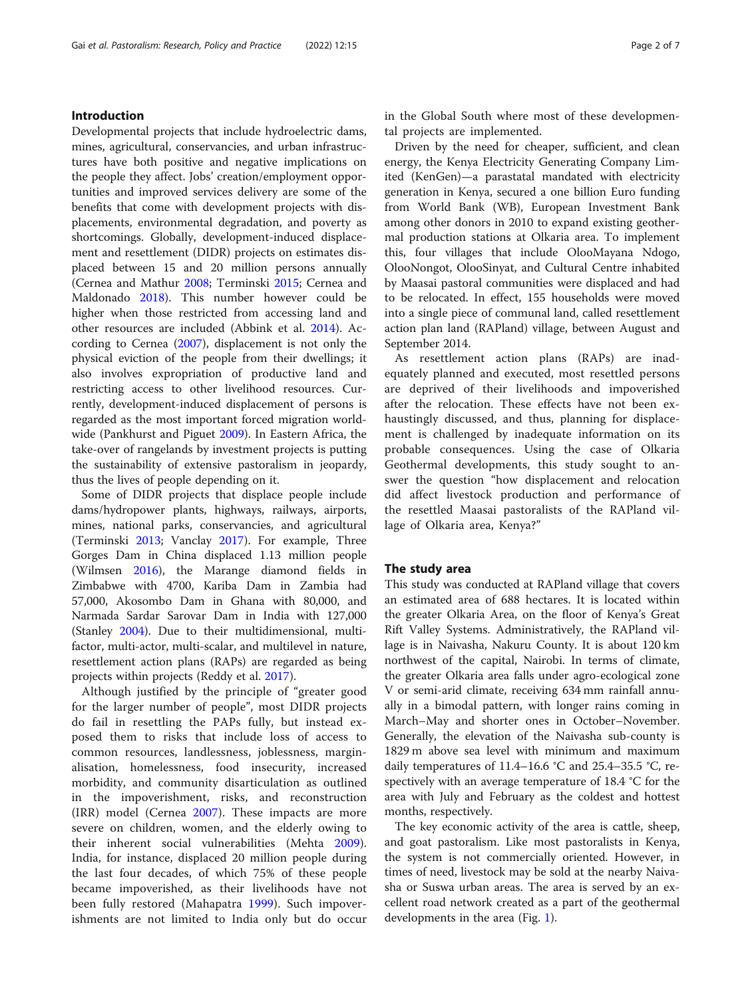## Introduction

Developmental projects that include hydroelectric dams, mines, agricultural, conservancies, and urban infrastructures have both positive and negative implications on the people they affect. Jobs' creation/employment opportunities and improved services delivery are some of the benefits that come with development projects with displacements, environmental degradation, and poverty as shortcomings. Globally, development-induced displacement and resettlement (DIDR) projects on estimates displaced between 15 and 20 million persons annually (Cernea and Mathur [2008;](#page-6-0) Terminski [2015;](#page-6-0) Cernea and Maldonado [2018](#page-6-0)). This number however could be higher when those restricted from accessing land and other resources are included (Abbink et al. [2014\)](#page-6-0). According to Cernea ([2007](#page-6-0)), displacement is not only the physical eviction of the people from their dwellings; it also involves expropriation of productive land and restricting access to other livelihood resources. Currently, development-induced displacement of persons is regarded as the most important forced migration worldwide (Pankhurst and Piguet [2009](#page-6-0)). In Eastern Africa, the take-over of rangelands by investment projects is putting the sustainability of extensive pastoralism in jeopardy, thus the lives of people depending on it.

Some of DIDR projects that displace people include dams/hydropower plants, highways, railways, airports, mines, national parks, conservancies, and agricultural (Terminski [2013](#page-6-0); Vanclay [2017](#page-6-0)). For example, Three Gorges Dam in China displaced 1.13 million people (Wilmsen [2016](#page-6-0)), the Marange diamond fields in Zimbabwe with 4700, Kariba Dam in Zambia had 57,000, Akosombo Dam in Ghana with 80,000, and Narmada Sardar Sarovar Dam in India with 127,000 (Stanley [2004](#page-6-0)). Due to their multidimensional, multifactor, multi-actor, multi-scalar, and multilevel in nature, resettlement action plans (RAPs) are regarded as being projects within projects (Reddy et al. [2017](#page-6-0)).

Although justified by the principle of "greater good for the larger number of people", most DIDR projects do fail in resettling the PAPs fully, but instead exposed them to risks that include loss of access to common resources, landlessness, joblessness, marginalisation, homelessness, food insecurity, increased morbidity, and community disarticulation as outlined in the impoverishment, risks, and reconstruction (IRR) model (Cernea [2007\)](#page-6-0). These impacts are more severe on children, women, and the elderly owing to their inherent social vulnerabilities (Mehta [2009](#page-6-0)). India, for instance, displaced 20 million people during the last four decades, of which 75% of these people became impoverished, as their livelihoods have not been fully restored (Mahapatra [1999\)](#page-6-0). Such impoverishments are not limited to India only but do occur in the Global South where most of these developmental projects are implemented.

Driven by the need for cheaper, sufficient, and clean energy, the Kenya Electricity Generating Company Limited (KenGen)—a parastatal mandated with electricity generation in Kenya, secured a one billion Euro funding from World Bank (WB), European Investment Bank among other donors in 2010 to expand existing geothermal production stations at Olkaria area. To implement this, four villages that include OlooMayana Ndogo, OlooNongot, OlooSinyat, and Cultural Centre inhabited by Maasai pastoral communities were displaced and had to be relocated. In effect, 155 households were moved into a single piece of communal land, called resettlement action plan land (RAPland) village, between August and September 2014.

As resettlement action plans (RAPs) are inadequately planned and executed, most resettled persons are deprived of their livelihoods and impoverished after the relocation. These effects have not been exhaustingly discussed, and thus, planning for displacement is challenged by inadequate information on its probable consequences. Using the case of Olkaria Geothermal developments, this study sought to answer the question "how displacement and relocation did affect livestock production and performance of the resettled Maasai pastoralists of the RAPland village of Olkaria area, Kenya?"

## The study area

This study was conducted at RAPland village that covers an estimated area of 688 hectares. It is located within the greater Olkaria Area, on the floor of Kenya's Great Rift Valley Systems. Administratively, the RAPland village is in Naivasha, Nakuru County. It is about 120 km northwest of the capital, Nairobi. In terms of climate, the greater Olkaria area falls under agro-ecological zone V or semi-arid climate, receiving 634 mm rainfall annually in a bimodal pattern, with longer rains coming in March–May and shorter ones in October–November. Generally, the elevation of the Naivasha sub-county is 1829 m above sea level with minimum and maximum daily temperatures of 11.4–16.6 °C and 25.4–35.5 °C, respectively with an average temperature of 18.4 °C for the area with July and February as the coldest and hottest months, respectively.

The key economic activity of the area is cattle, sheep, and goat pastoralism. Like most pastoralists in Kenya, the system is not commercially oriented. However, in times of need, livestock may be sold at the nearby Naivasha or Suswa urban areas. The area is served by an excellent road network created as a part of the geothermal developments in the area (Fig. [1](#page-2-0)).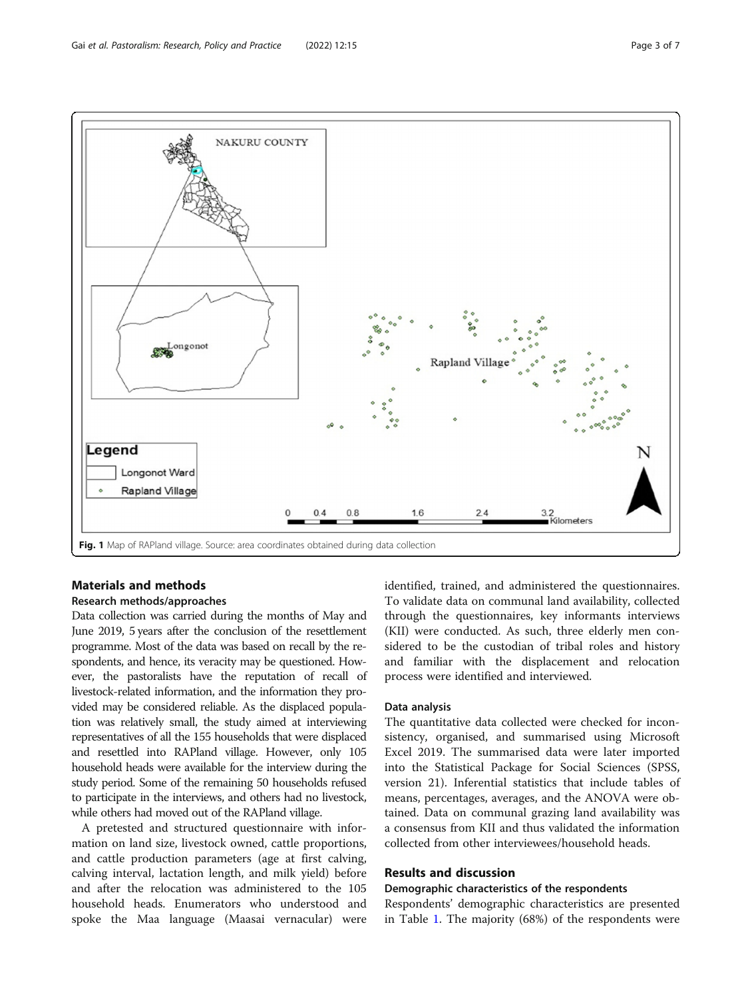<span id="page-2-0"></span>

## Materials and methods

## Research methods/approaches

Data collection was carried during the months of May and June 2019, 5 years after the conclusion of the resettlement programme. Most of the data was based on recall by the respondents, and hence, its veracity may be questioned. However, the pastoralists have the reputation of recall of livestock-related information, and the information they provided may be considered reliable. As the displaced population was relatively small, the study aimed at interviewing representatives of all the 155 households that were displaced and resettled into RAPland village. However, only 105 household heads were available for the interview during the study period. Some of the remaining 50 households refused to participate in the interviews, and others had no livestock, while others had moved out of the RAPland village.

A pretested and structured questionnaire with information on land size, livestock owned, cattle proportions, and cattle production parameters (age at first calving, calving interval, lactation length, and milk yield) before and after the relocation was administered to the 105 household heads. Enumerators who understood and spoke the Maa language (Maasai vernacular) were identified, trained, and administered the questionnaires. To validate data on communal land availability, collected through the questionnaires, key informants interviews (KII) were conducted. As such, three elderly men considered to be the custodian of tribal roles and history and familiar with the displacement and relocation process were identified and interviewed.

## Data analysis

The quantitative data collected were checked for inconsistency, organised, and summarised using Microsoft Excel 2019. The summarised data were later imported into the Statistical Package for Social Sciences (SPSS, version 21). Inferential statistics that include tables of means, percentages, averages, and the ANOVA were obtained. Data on communal grazing land availability was a consensus from KII and thus validated the information collected from other interviewees/household heads.

## Results and discussion

## Demographic characteristics of the respondents

Respondents' demographic characteristics are presented in Table [1.](#page-3-0) The majority (68%) of the respondents were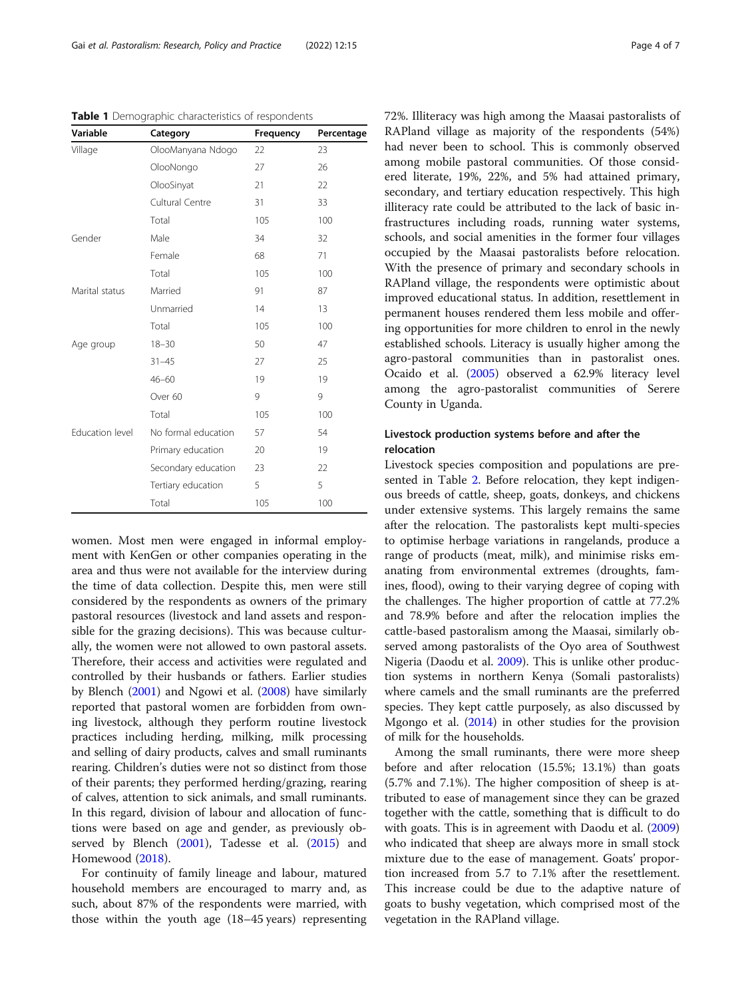<span id="page-3-0"></span>Table 1 Demographic characteristics of respondents

| Variable        | Category            | Frequency | Percentage |
|-----------------|---------------------|-----------|------------|
| Village         | OlooManyana Ndogo   | 22        | 23         |
|                 | OlooNongo           | 27        | 26         |
|                 | OlooSinyat          | 21        | 22         |
|                 | Cultural Centre     | 31        | 33         |
|                 | Total               | 105       | 100        |
| Gender          | Male                | 34        | 32         |
|                 | Female              | 68        | 71         |
|                 | Total               | 105       | 100        |
| Marital status  | Married             | 91        | 87         |
|                 | Unmarried           | 14        | 13         |
|                 | Total               | 105       | 100        |
| Age group       | $18 - 30$           | 50        | 47         |
|                 | $31 - 45$           | 27        | 25         |
|                 | $46 - 60$           | 19        | 19         |
|                 | Over 60             | 9         | 9          |
|                 | Total               | 105       | 100        |
| Education level | No formal education | 57        | 54         |
|                 | Primary education   | 20        | 19         |
|                 | Secondary education | 23        | 22         |
|                 | Tertiary education  | 5         | 5          |
|                 | Total               | 105       | 100        |

women. Most men were engaged in informal employment with KenGen or other companies operating in the area and thus were not available for the interview during the time of data collection. Despite this, men were still considered by the respondents as owners of the primary pastoral resources (livestock and land assets and responsible for the grazing decisions). This was because culturally, the women were not allowed to own pastoral assets. Therefore, their access and activities were regulated and controlled by their husbands or fathers. Earlier studies by Blench ([2001](#page-6-0)) and Ngowi et al. [\(2008\)](#page-6-0) have similarly reported that pastoral women are forbidden from owning livestock, although they perform routine livestock practices including herding, milking, milk processing and selling of dairy products, calves and small ruminants rearing. Children's duties were not so distinct from those of their parents; they performed herding/grazing, rearing of calves, attention to sick animals, and small ruminants. In this regard, division of labour and allocation of functions were based on age and gender, as previously observed by Blench ([2001](#page-6-0)), Tadesse et al. [\(2015\)](#page-6-0) and Homewood [\(2018\)](#page-6-0).

For continuity of family lineage and labour, matured household members are encouraged to marry and, as such, about 87% of the respondents were married, with those within the youth age (18–45 years) representing 72%. Illiteracy was high among the Maasai pastoralists of RAPland village as majority of the respondents (54%) had never been to school. This is commonly observed among mobile pastoral communities. Of those considered literate, 19%, 22%, and 5% had attained primary, secondary, and tertiary education respectively. This high illiteracy rate could be attributed to the lack of basic infrastructures including roads, running water systems, schools, and social amenities in the former four villages occupied by the Maasai pastoralists before relocation. With the presence of primary and secondary schools in RAPland village, the respondents were optimistic about improved educational status. In addition, resettlement in permanent houses rendered them less mobile and offering opportunities for more children to enrol in the newly established schools. Literacy is usually higher among the agro-pastoral communities than in pastoralist ones. Ocaido et al. ([2005](#page-6-0)) observed a 62.9% literacy level among the agro-pastoralist communities of Serere County in Uganda.

## Livestock production systems before and after the relocation

Livestock species composition and populations are presented in Table [2.](#page-4-0) Before relocation, they kept indigenous breeds of cattle, sheep, goats, donkeys, and chickens under extensive systems. This largely remains the same after the relocation. The pastoralists kept multi-species to optimise herbage variations in rangelands, produce a range of products (meat, milk), and minimise risks emanating from environmental extremes (droughts, famines, flood), owing to their varying degree of coping with the challenges. The higher proportion of cattle at 77.2% and 78.9% before and after the relocation implies the cattle-based pastoralism among the Maasai, similarly observed among pastoralists of the Oyo area of Southwest Nigeria (Daodu et al. [2009\)](#page-6-0). This is unlike other production systems in northern Kenya (Somali pastoralists) where camels and the small ruminants are the preferred species. They kept cattle purposely, as also discussed by Mgongo et al. ([2014\)](#page-6-0) in other studies for the provision of milk for the households.

Among the small ruminants, there were more sheep before and after relocation (15.5%; 13.1%) than goats (5.7% and 7.1%). The higher composition of sheep is attributed to ease of management since they can be grazed together with the cattle, something that is difficult to do with goats. This is in agreement with Daodu et al. ([2009](#page-6-0)) who indicated that sheep are always more in small stock mixture due to the ease of management. Goats' proportion increased from 5.7 to 7.1% after the resettlement. This increase could be due to the adaptive nature of goats to bushy vegetation, which comprised most of the vegetation in the RAPland village.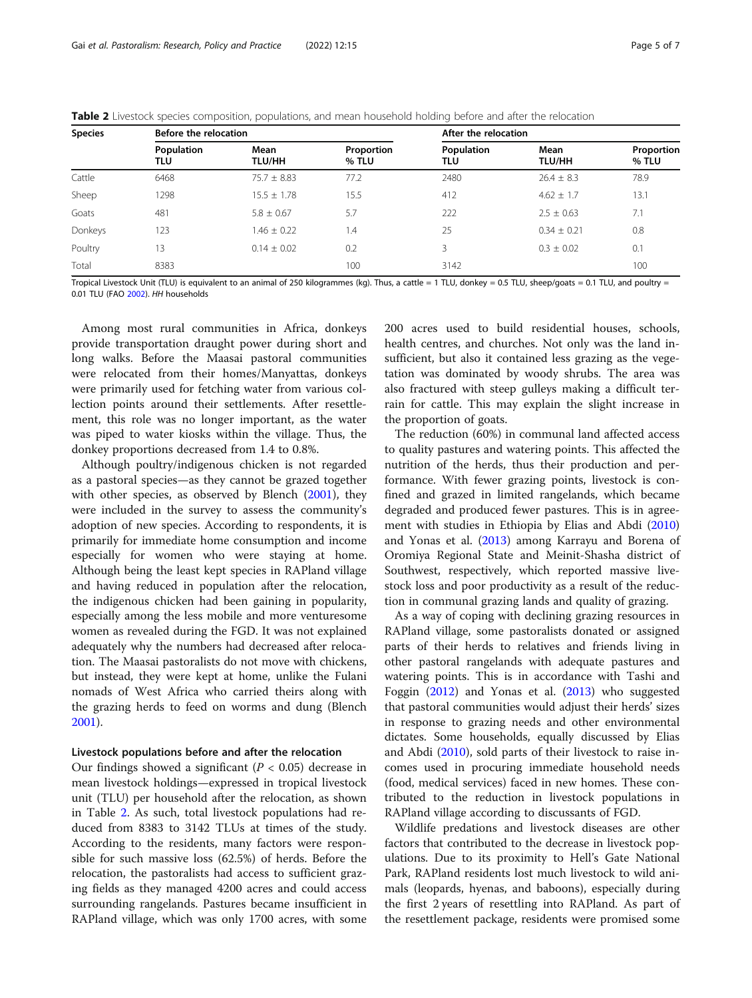<span id="page-4-0"></span>

|  |  |  | <b>Table 2</b> Livestock species composition, populations, and mean household holding before and after the relocation |
|--|--|--|-----------------------------------------------------------------------------------------------------------------------|
|  |  |  |                                                                                                                       |

| <b>Species</b> | Before the relocation |                       |                     | After the relocation |                       |                     |  |
|----------------|-----------------------|-----------------------|---------------------|----------------------|-----------------------|---------------------|--|
|                | Population<br>TLU     | Mean<br><b>TLU/HH</b> | Proportion<br>% TLU | Population<br>TLU    | Mean<br><b>TLU/HH</b> | Proportion<br>% TLU |  |
| Cattle         | 6468                  | $75.7 \pm 8.83$       | 77.2                | 2480                 | $26.4 \pm 8.3$        | 78.9                |  |
| Sheep          | 298                   | $15.5 + 1.78$         | 15.5                | 412                  | $4.62 \pm 1.7$        | 13.1                |  |
| Goats          | 481                   | $5.8 \pm 0.67$        | 5.7                 | 222                  | $2.5 \pm 0.63$        | 7.1                 |  |
| Donkeys        | 123                   | $1.46 \pm 0.22$       | 1.4                 | 25                   | $0.34 \pm 0.21$       | 0.8                 |  |
| Poultry        | .3                    | $0.14 + 0.02$         | 0.2                 | 3                    | $0.3 \pm 0.02$        | 0.1                 |  |
| Total          | 8383                  |                       | 100                 | 3142                 |                       | 100                 |  |

Tropical Livestock Unit (TLU) is equivalent to an animal of 250 kilogrammes (kg). Thus, a cattle = 1 TLU, donkey = 0.5 TLU, sheep/goats = 0.1 TLU, and poultry = 0.01 TLU (FAO [2002](#page-6-0)). HH households

Among most rural communities in Africa, donkeys provide transportation draught power during short and long walks. Before the Maasai pastoral communities were relocated from their homes/Manyattas, donkeys were primarily used for fetching water from various collection points around their settlements. After resettlement, this role was no longer important, as the water was piped to water kiosks within the village. Thus, the donkey proportions decreased from 1.4 to 0.8%.

Although poultry/indigenous chicken is not regarded as a pastoral species—as they cannot be grazed together with other species, as observed by Blench ([2001](#page-6-0)), they were included in the survey to assess the community's adoption of new species. According to respondents, it is primarily for immediate home consumption and income especially for women who were staying at home. Although being the least kept species in RAPland village and having reduced in population after the relocation, the indigenous chicken had been gaining in popularity, especially among the less mobile and more venturesome women as revealed during the FGD. It was not explained adequately why the numbers had decreased after relocation. The Maasai pastoralists do not move with chickens, but instead, they were kept at home, unlike the Fulani nomads of West Africa who carried theirs along with the grazing herds to feed on worms and dung (Blench [2001](#page-6-0)).

#### Livestock populations before and after the relocation

Our findings showed a significant ( $P < 0.05$ ) decrease in mean livestock holdings—expressed in tropical livestock unit (TLU) per household after the relocation, as shown in Table 2. As such, total livestock populations had reduced from 8383 to 3142 TLUs at times of the study. According to the residents, many factors were responsible for such massive loss (62.5%) of herds. Before the relocation, the pastoralists had access to sufficient grazing fields as they managed 4200 acres and could access surrounding rangelands. Pastures became insufficient in RAPland village, which was only 1700 acres, with some

200 acres used to build residential houses, schools, health centres, and churches. Not only was the land insufficient, but also it contained less grazing as the vegetation was dominated by woody shrubs. The area was also fractured with steep gulleys making a difficult terrain for cattle. This may explain the slight increase in the proportion of goats.

The reduction (60%) in communal land affected access to quality pastures and watering points. This affected the nutrition of the herds, thus their production and performance. With fewer grazing points, livestock is confined and grazed in limited rangelands, which became degraded and produced fewer pastures. This is in agreement with studies in Ethiopia by Elias and Abdi ([2010](#page-6-0)) and Yonas et al. ([2013](#page-6-0)) among Karrayu and Borena of Oromiya Regional State and Meinit-Shasha district of Southwest, respectively, which reported massive livestock loss and poor productivity as a result of the reduction in communal grazing lands and quality of grazing.

As a way of coping with declining grazing resources in RAPland village, some pastoralists donated or assigned parts of their herds to relatives and friends living in other pastoral rangelands with adequate pastures and watering points. This is in accordance with Tashi and Foggin ([2012](#page-6-0)) and Yonas et al. ([2013](#page-6-0)) who suggested that pastoral communities would adjust their herds' sizes in response to grazing needs and other environmental dictates. Some households, equally discussed by Elias and Abdi [\(2010\)](#page-6-0), sold parts of their livestock to raise incomes used in procuring immediate household needs (food, medical services) faced in new homes. These contributed to the reduction in livestock populations in RAPland village according to discussants of FGD.

Wildlife predations and livestock diseases are other factors that contributed to the decrease in livestock populations. Due to its proximity to Hell's Gate National Park, RAPland residents lost much livestock to wild animals (leopards, hyenas, and baboons), especially during the first 2 years of resettling into RAPland. As part of the resettlement package, residents were promised some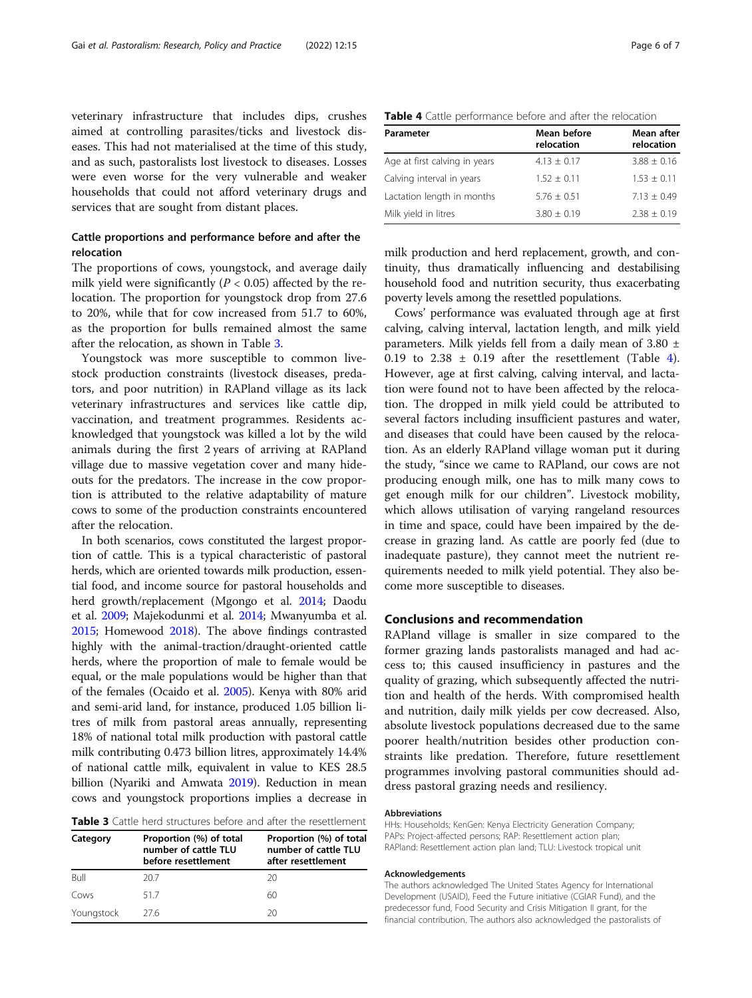veterinary infrastructure that includes dips, crushes aimed at controlling parasites/ticks and livestock diseases. This had not materialised at the time of this study, and as such, pastoralists lost livestock to diseases. Losses were even worse for the very vulnerable and weaker households that could not afford veterinary drugs and services that are sought from distant places.

## Cattle proportions and performance before and after the relocation

The proportions of cows, youngstock, and average daily milk yield were significantly ( $P < 0.05$ ) affected by the relocation. The proportion for youngstock drop from 27.6 to 20%, while that for cow increased from 51.7 to 60%, as the proportion for bulls remained almost the same after the relocation, as shown in Table 3.

Youngstock was more susceptible to common livestock production constraints (livestock diseases, predators, and poor nutrition) in RAPland village as its lack veterinary infrastructures and services like cattle dip, vaccination, and treatment programmes. Residents acknowledged that youngstock was killed a lot by the wild animals during the first 2 years of arriving at RAPland village due to massive vegetation cover and many hideouts for the predators. The increase in the cow proportion is attributed to the relative adaptability of mature cows to some of the production constraints encountered after the relocation.

In both scenarios, cows constituted the largest proportion of cattle. This is a typical characteristic of pastoral herds, which are oriented towards milk production, essential food, and income source for pastoral households and herd growth/replacement (Mgongo et al. [2014](#page-6-0); Daodu et al. [2009;](#page-6-0) Majekodunmi et al. [2014](#page-6-0); Mwanyumba et al. [2015;](#page-6-0) Homewood [2018\)](#page-6-0). The above findings contrasted highly with the animal-traction/draught-oriented cattle herds, where the proportion of male to female would be equal, or the male populations would be higher than that of the females (Ocaido et al. [2005](#page-6-0)). Kenya with 80% arid and semi-arid land, for instance, produced 1.05 billion litres of milk from pastoral areas annually, representing 18% of national total milk production with pastoral cattle milk contributing 0.473 billion litres, approximately 14.4% of national cattle milk, equivalent in value to KES 28.5 billion (Nyariki and Amwata [2019\)](#page-6-0). Reduction in mean cows and youngstock proportions implies a decrease in

| <b>Table 3</b> Cattle herd structures before and after the resettlement |  |
|-------------------------------------------------------------------------|--|
|-------------------------------------------------------------------------|--|

| Category   | Proportion (%) of total<br>number of cattle TLU<br>before resettlement | Proportion (%) of total<br>number of cattle TLU<br>after resettlement |  |  |
|------------|------------------------------------------------------------------------|-----------------------------------------------------------------------|--|--|
| Bull       | 20.7                                                                   | 20                                                                    |  |  |
| Cows       | 517                                                                    | 60                                                                    |  |  |
| Youngstock | 276                                                                    | 20                                                                    |  |  |

| <b>Table 4</b> Cattle performance before and after the relocation |  |  |  |  |
|-------------------------------------------------------------------|--|--|--|--|
|-------------------------------------------------------------------|--|--|--|--|

| Parameter                     | Mean before<br>relocation | Mean after<br>relocation |  |
|-------------------------------|---------------------------|--------------------------|--|
| Age at first calving in years | $4.13 \pm 0.17$           | $3.88 \pm 0.16$          |  |
| Calving interval in years     | $1.52 + 0.11$             | $1.53 + 0.11$            |  |
| Lactation length in months    | $5.76 + 0.51$             | $7.13 + 0.49$            |  |
| Milk yield in litres          | $3.80 \pm 0.19$           | $2.38 \pm 0.19$          |  |

milk production and herd replacement, growth, and continuity, thus dramatically influencing and destabilising household food and nutrition security, thus exacerbating poverty levels among the resettled populations.

Cows' performance was evaluated through age at first calving, calving interval, lactation length, and milk yield parameters. Milk yields fell from a daily mean of 3.80 ± 0.19 to 2.38  $\pm$  0.19 after the resettlement (Table 4). However, age at first calving, calving interval, and lactation were found not to have been affected by the relocation. The dropped in milk yield could be attributed to several factors including insufficient pastures and water, and diseases that could have been caused by the relocation. As an elderly RAPland village woman put it during the study, "since we came to RAPland, our cows are not producing enough milk, one has to milk many cows to get enough milk for our children". Livestock mobility, which allows utilisation of varying rangeland resources in time and space, could have been impaired by the decrease in grazing land. As cattle are poorly fed (due to inadequate pasture), they cannot meet the nutrient requirements needed to milk yield potential. They also become more susceptible to diseases.

## Conclusions and recommendation

RAPland village is smaller in size compared to the former grazing lands pastoralists managed and had access to; this caused insufficiency in pastures and the quality of grazing, which subsequently affected the nutrition and health of the herds. With compromised health and nutrition, daily milk yields per cow decreased. Also, absolute livestock populations decreased due to the same poorer health/nutrition besides other production constraints like predation. Therefore, future resettlement programmes involving pastoral communities should address pastoral grazing needs and resiliency.

#### Abbreviations

HHs: Households; KenGen: Kenya Electricity Generation Company; PAPs: Project-affected persons; RAP: Resettlement action plan; RAPland: Resettlement action plan land; TLU: Livestock tropical unit

#### Acknowledgements

The authors acknowledged The United States Agency for International Development (USAID), Feed the Future initiative (CGIAR Fund), and the predecessor fund, Food Security and Crisis Mitigation II grant, for the financial contribution. The authors also acknowledged the pastoralists of